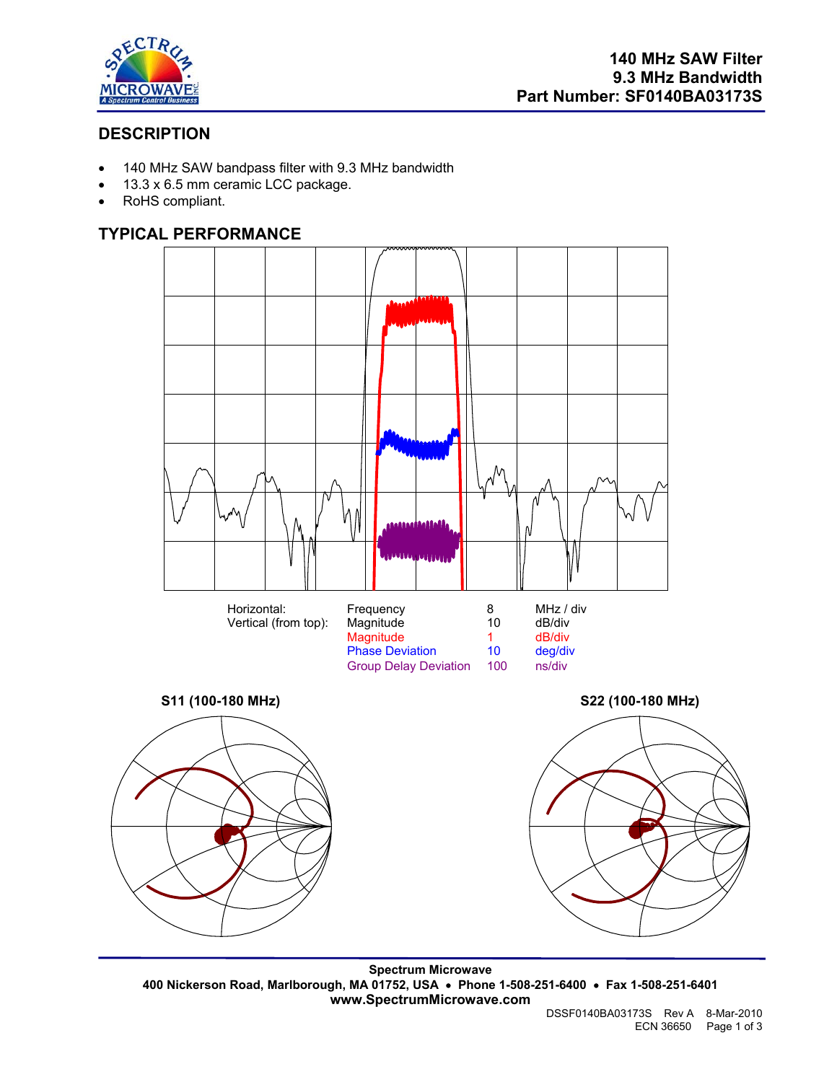

## **DESCRIPTION**

- 140 MHz SAW bandpass filter with 9.3 MHz bandwidth
- 13.3 x 6.5 mm ceramic LCC package.
- RoHS compliant.

## **TYPICAL PERFORMANCE**



**Spectrum Microwave 400 Nickerson Road, Marlborough, MA 01752, USA** • **Phone 1-508-251-6400** • **Fax 1-508-251-6401 www.SpectrumMicrowave.com**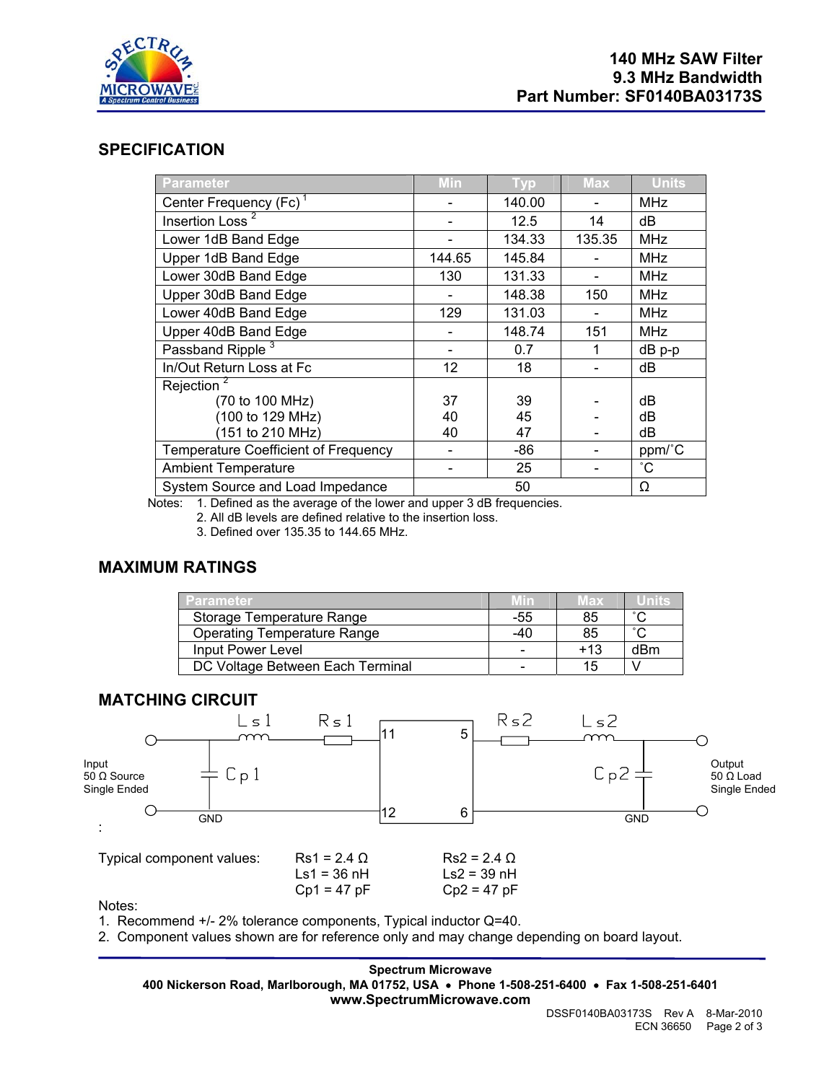

### **SPECIFICATION**

| Parameter                                                                                                                                                                                                                                                                                                                                                                                                                                        | <b>Min</b>    | <b>Typ</b> | <b>Max</b> | <b>Units</b> |
|--------------------------------------------------------------------------------------------------------------------------------------------------------------------------------------------------------------------------------------------------------------------------------------------------------------------------------------------------------------------------------------------------------------------------------------------------|---------------|------------|------------|--------------|
| Center Frequency (Fc) <sup>1</sup>                                                                                                                                                                                                                                                                                                                                                                                                               |               | 140.00     |            | <b>MHz</b>   |
| Insertion Loss <sup>2</sup>                                                                                                                                                                                                                                                                                                                                                                                                                      |               | 12.5       | 14         | dВ           |
| Lower 1dB Band Edge                                                                                                                                                                                                                                                                                                                                                                                                                              |               | 134.33     | 135.35     | <b>MHz</b>   |
| Upper 1dB Band Edge                                                                                                                                                                                                                                                                                                                                                                                                                              | 144.65        | 145.84     |            | <b>MHz</b>   |
| Lower 30dB Band Edge                                                                                                                                                                                                                                                                                                                                                                                                                             | 130           | 131.33     |            | <b>MHz</b>   |
| Upper 30dB Band Edge                                                                                                                                                                                                                                                                                                                                                                                                                             |               | 148.38     | 150        | <b>MHz</b>   |
| Lower 40dB Band Edge                                                                                                                                                                                                                                                                                                                                                                                                                             | 129           | 131.03     |            | <b>MHz</b>   |
| Upper 40dB Band Edge                                                                                                                                                                                                                                                                                                                                                                                                                             |               | 148.74     | 151        | <b>MHz</b>   |
| Passband Ripple <sup>3</sup>                                                                                                                                                                                                                                                                                                                                                                                                                     |               | 0.7        | 1          | dB p-p       |
| In/Out Return Loss at Fc                                                                                                                                                                                                                                                                                                                                                                                                                         | 12            | 18         |            | dB           |
| Rejection <sup>2</sup>                                                                                                                                                                                                                                                                                                                                                                                                                           |               |            |            |              |
| (70 to 100 MHz)                                                                                                                                                                                                                                                                                                                                                                                                                                  | 37            | 39         |            | dB           |
| (100 to 129 MHz)                                                                                                                                                                                                                                                                                                                                                                                                                                 | 40            | 45         |            | dB           |
| (151 to 210 MHz)                                                                                                                                                                                                                                                                                                                                                                                                                                 | 40            | 47         |            | dВ           |
| <b>Temperature Coefficient of Frequency</b>                                                                                                                                                                                                                                                                                                                                                                                                      |               | -86        |            | ppm/°C       |
| <b>Ambient Temperature</b>                                                                                                                                                                                                                                                                                                                                                                                                                       |               | 25         |            | $^{\circ}$ C |
| System Source and Load Impedance<br>$\overline{a}$ $\overline{a}$ $\overline{a}$ $\overline{a}$ $\overline{a}$ $\overline{a}$ $\overline{a}$ $\overline{a}$ $\overline{a}$ $\overline{a}$ $\overline{a}$ $\overline{a}$ $\overline{a}$ $\overline{a}$ $\overline{a}$ $\overline{a}$ $\overline{a}$ $\overline{a}$ $\overline{a}$ $\overline{a}$ $\overline{a}$ $\overline{a}$ $\overline{a}$ $\overline{a}$ $\overline{$<br>$\sim$ $\sim$ $\sim$ | $\sim$ $\sim$ | 50         |            | Ω            |

Notes: 1. Defined as the average of the lower and upper 3 dB frequencies.

2. All dB levels are defined relative to the insertion loss.

3. Defined over 135.35 to 144.65 MHz.

#### **MAXIMUM RATINGS**

| Parameter                          | Min | Max   | Units  |
|------------------------------------|-----|-------|--------|
| Storage Temperature Range          | -55 | 85    | $\sim$ |
| <b>Operating Temperature Range</b> | -40 | 85    | $\sim$ |
| Input Power Level                  |     | $+13$ | dBm    |
| DC Voltage Between Each Terminal   |     | 15    |        |

#### **MATCHING CIRCUIT**



Notes:

1. Recommend +/- 2% tolerance components, Typical inductor Q=40.

2. Component values shown are for reference only and may change depending on board layout.

**Spectrum Microwave 400 Nickerson Road, Marlborough, MA 01752, USA** • **Phone 1-508-251-6400** • **Fax 1-508-251-6401 www.SpectrumMicrowave.com**